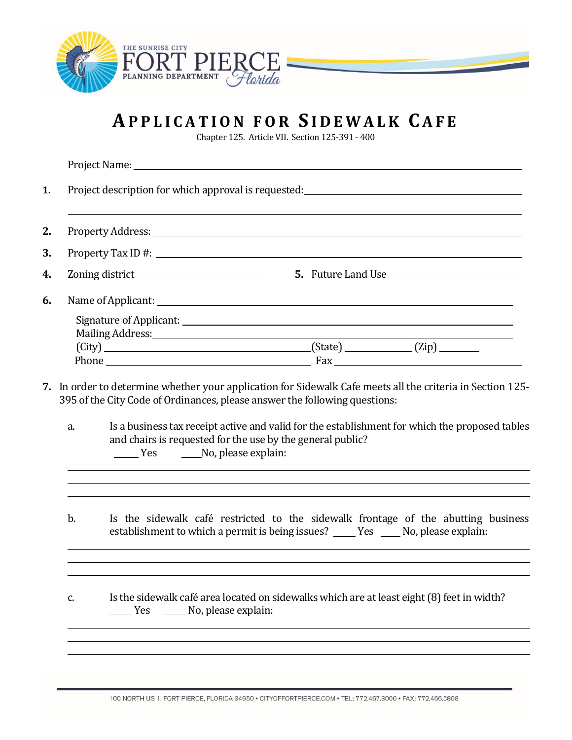

## **AP P L I C A T I O N F O R S I D E W A L K C A F E**

Chapter 125. Article VII. Section 125-391 - 400

|     | Property Address: No. 2014 19:30 and 2014 19:30 and 2014 19:30 and 2014 19:30 and 2014 19:30 and 2014 19:30 and 2014 19:30 and 2014 19:30 and 2014 19:30 and 2014 19:30 and 2014 19:30 and 2014 19:30 and 2014 19:30 and 2014  |  |  |  |  |
|-----|--------------------------------------------------------------------------------------------------------------------------------------------------------------------------------------------------------------------------------|--|--|--|--|
|     |                                                                                                                                                                                                                                |  |  |  |  |
|     |                                                                                                                                                                                                                                |  |  |  |  |
|     |                                                                                                                                                                                                                                |  |  |  |  |
|     | Mailing Address: National Address: National Address: National Address: National Address: National Address: National Address: National Address: National Address: National Address: National Address: National Address: Nationa |  |  |  |  |
|     | $(City)$ $(Xip)$ $(Xip)$ $(Xip)$                                                                                                                                                                                               |  |  |  |  |
|     |                                                                                                                                                                                                                                |  |  |  |  |
| a.  | 7. In order to determine whether your application for Sidewalk Cafe meets all the criteria in Section 125-<br>395 of the City Code of Ordinances, please answer the following questions:                                       |  |  |  |  |
|     | Is a business tax receipt active and valid for the establishment for which the proposed tables<br>and chairs is requested for the use by the general public?<br>______ Yes _________No, please explain:                        |  |  |  |  |
| $b$ | Is the sidewalk café restricted to the sidewalk frontage of the abutting business<br>establishment to which a permit is being issues? _____ Yes _____ No, please explain:                                                      |  |  |  |  |
|     |                                                                                                                                                                                                                                |  |  |  |  |

100 NORTH US 1, FORT PIERCE, FLORIDA 34950 · CITYOFFORTPIERCE.COM · TEL: 772.467.3000 · FAX: 772.466.5808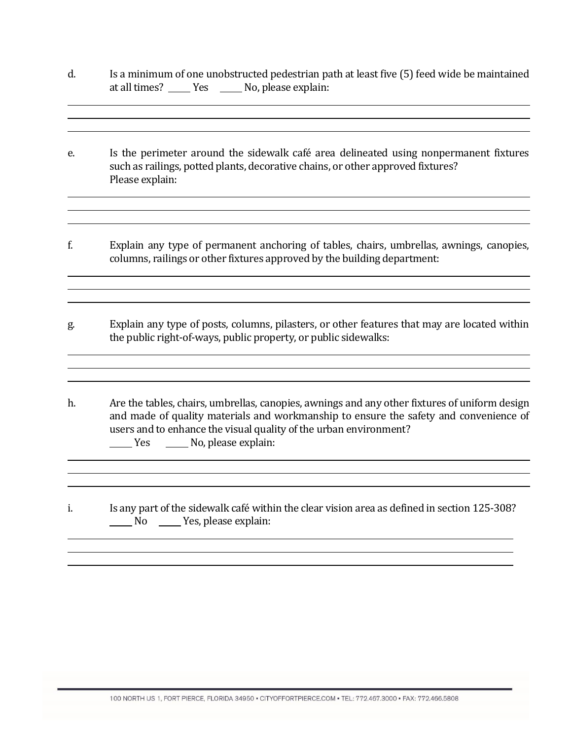d. Is a minimum of one unobstructed pedestrian path at least five (5) feed wide be maintained at all times? \_\_\_\_\_ Yes \_\_\_\_\_ No, please explain:

<u> 1980 - Johann Stoff, fransk politik (d. 1980)</u>

e. Is the perimeter around the sidewalk café area delineated using nonpermanent fixtures such as railings, potted plants, decorative chains, or other approved fixtures? Please explain:

f. Explain any type of permanent anchoring of tables, chairs, umbrellas, awnings, canopies, columns, railings or other fixtures approved by the building department:

- g. Explain any type of posts, columns, pilasters, or other features that may are located within the public right-of-ways, public property, or public sidewalks:
- h. Are the tables, chairs, umbrellas, canopies, awnings and any other fixtures of uniform design and made of quality materials and workmanship to ensure the safety and convenience of users and to enhance the visual quality of the urban environment? Yes No, please explain:

i. Is any part of the sidewalk café within the clear vision area as defined in section 125-308? No Yes, please explain: